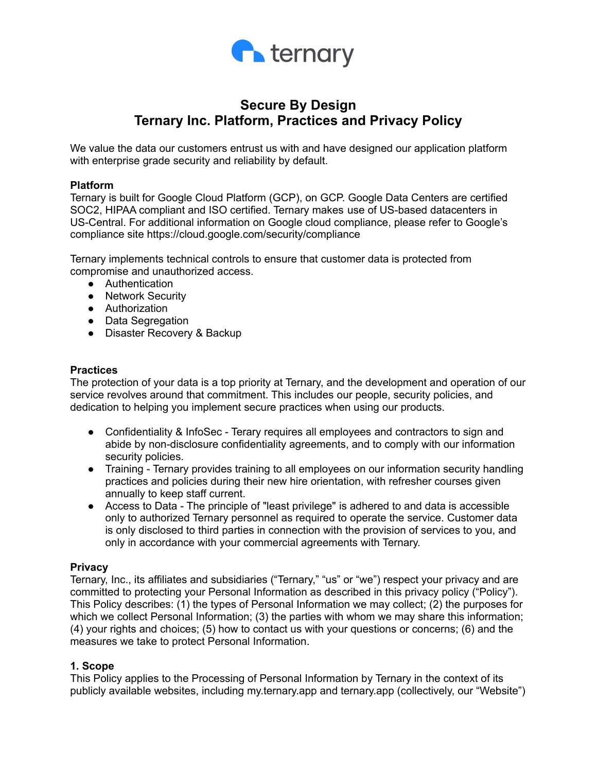

# **Secure By Design Ternary Inc. Platform, Practices and Privacy Policy**

We value the data our customers entrust us with and have designed our application platform with enterprise grade security and reliability by default.

#### **Platform**

Ternary is built for Google Cloud Platform (GCP), on GCP. Google Data Centers are certified SOC2, HIPAA compliant and ISO certified. Ternary makes use of US-based datacenters in US-Central. For additional information on Google cloud compliance, please refer to Google's compliance site https://cloud.google.com/security/compliance

Ternary implements technical controls to ensure that customer data is protected from compromise and unauthorized access.

- Authentication
- Network Security
- Authorization
- Data Segregation
- Disaster Recovery & Backup

#### **Practices**

The protection of your data is a top priority at Ternary, and the development and operation of our service revolves around that commitment. This includes our people, security policies, and dedication to helping you implement secure practices when using our products.

- Confidentiality & InfoSec Terary requires all employees and contractors to sign and abide by non-disclosure confidentiality agreements, and to comply with our information security policies.
- Training Ternary provides training to all employees on our information security handling practices and policies during their new hire orientation, with refresher courses given annually to keep staff current.
- Access to Data The principle of "least privilege" is adhered to and data is accessible only to authorized Ternary personnel as required to operate the service. Customer data is only disclosed to third parties in connection with the provision of services to you, and only in accordance with your commercial agreements with Ternary.

#### **Privacy**

Ternary, Inc., its affiliates and subsidiaries ("Ternary," "us" or "we") respect your privacy and are committed to protecting your Personal Information as described in this privacy policy ("Policy"). This Policy describes: (1) the types of Personal Information we may collect; (2) the purposes for which we collect Personal Information; (3) the parties with whom we may share this information; (4) your rights and choices; (5) how to contact us with your questions or concerns; (6) and the measures we take to protect Personal Information.

## **1. Scope**

This Policy applies to the Processing of Personal Information by Ternary in the context of its publicly available websites, including my.ternary.app and ternary.app (collectively, our "Website")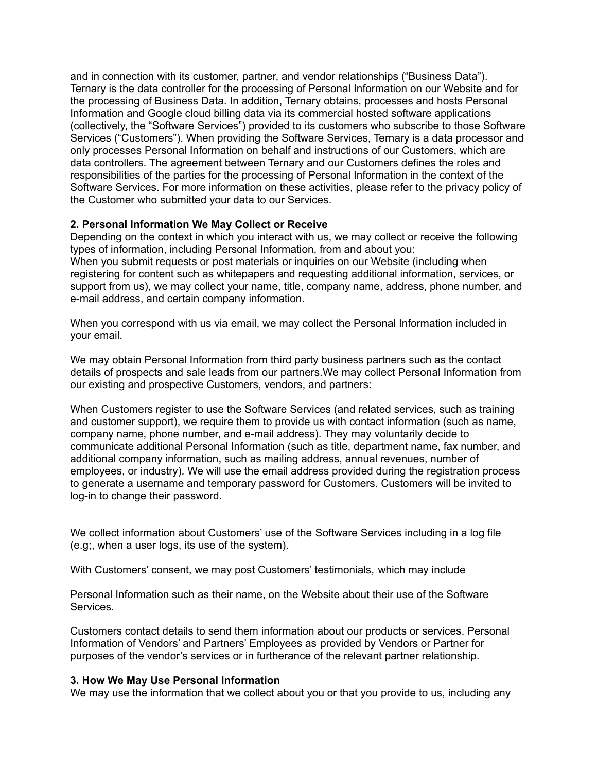and in connection with its customer, partner, and vendor relationships ("Business Data"). Ternary is the data controller for the processing of Personal Information on our Website and for the processing of Business Data. In addition, Ternary obtains, processes and hosts Personal Information and Google cloud billing data via its commercial hosted software applications (collectively, the "Software Services") provided to its customers who subscribe to those Software Services ("Customers"). When providing the Software Services, Ternary is a data processor and only processes Personal Information on behalf and instructions of our Customers, which are data controllers. The agreement between Ternary and our Customers defines the roles and responsibilities of the parties for the processing of Personal Information in the context of the Software Services. For more information on these activities, please refer to the privacy policy of the Customer who submitted your data to our Services.

## **2. Personal Information We May Collect or Receive**

Depending on the context in which you interact with us, we may collect or receive the following types of information, including Personal Information, from and about you: When you submit requests or post materials or inquiries on our Website (including when registering for content such as whitepapers and requesting additional information, services, or support from us), we may collect your name, title, company name, address, phone number, and e-mail address, and certain company information.

When you correspond with us via email, we may collect the Personal Information included in your email.

We may obtain Personal Information from third party business partners such as the contact details of prospects and sale leads from our partners.We may collect Personal Information from our existing and prospective Customers, vendors, and partners:

When Customers register to use the Software Services (and related services, such as training and customer support), we require them to provide us with contact information (such as name, company name, phone number, and e-mail address). They may voluntarily decide to communicate additional Personal Information (such as title, department name, fax number, and additional company information, such as mailing address, annual revenues, number of employees, or industry). We will use the email address provided during the registration process to generate a username and temporary password for Customers. Customers will be invited to log-in to change their password.

We collect information about Customers' use of the Software Services including in a log file (e.g;, when a user logs, its use of the system).

With Customers' consent, we may post Customers' testimonials, which may include

Personal Information such as their name, on the Website about their use of the Software Services.

Customers contact details to send them information about our products or services. Personal Information of Vendors' and Partners' Employees as provided by Vendors or Partner for purposes of the vendor's services or in furtherance of the relevant partner relationship.

#### **3. How We May Use Personal Information**

We may use the information that we collect about you or that you provide to us, including any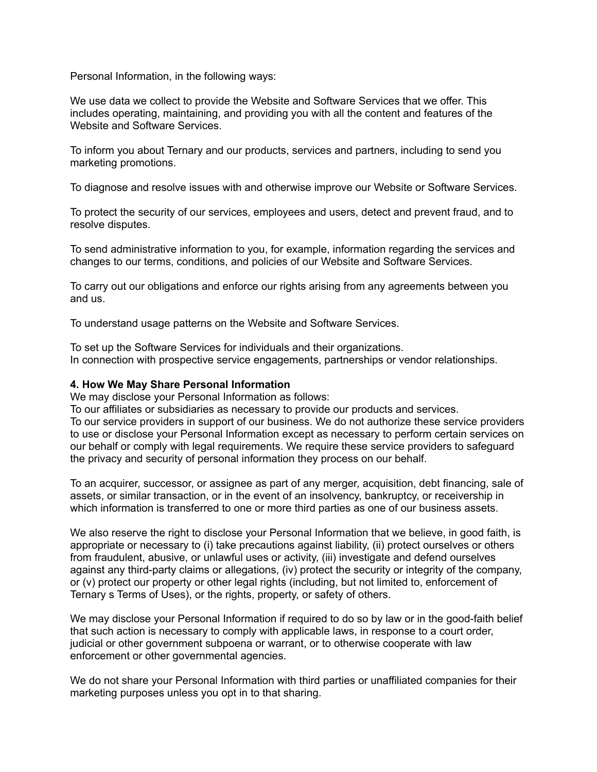Personal Information, in the following ways:

We use data we collect to provide the Website and Software Services that we offer. This includes operating, maintaining, and providing you with all the content and features of the Website and Software Services.

To inform you about Ternary and our products, services and partners, including to send you marketing promotions.

To diagnose and resolve issues with and otherwise improve our Website or Software Services.

To protect the security of our services, employees and users, detect and prevent fraud, and to resolve disputes.

To send administrative information to you, for example, information regarding the services and changes to our terms, conditions, and policies of our Website and Software Services.

To carry out our obligations and enforce our rights arising from any agreements between you and us.

To understand usage patterns on the Website and Software Services.

To set up the Software Services for individuals and their organizations. In connection with prospective service engagements, partnerships or vendor relationships.

## **4. How We May Share Personal Information**

We may disclose your Personal Information as follows:

To our affiliates or subsidiaries as necessary to provide our products and services.

To our service providers in support of our business. We do not authorize these service providers to use or disclose your Personal Information except as necessary to perform certain services on our behalf or comply with legal requirements. We require these service providers to safeguard the privacy and security of personal information they process on our behalf.

To an acquirer, successor, or assignee as part of any merger, acquisition, debt financing, sale of assets, or similar transaction, or in the event of an insolvency, bankruptcy, or receivership in which information is transferred to one or more third parties as one of our business assets.

We also reserve the right to disclose your Personal Information that we believe, in good faith, is appropriate or necessary to (i) take precautions against liability, (ii) protect ourselves or others from fraudulent, abusive, or unlawful uses or activity, (iii) investigate and defend ourselves against any third-party claims or allegations, (iv) protect the security or integrity of the company, or (v) protect our property or other legal rights (including, but not limited to, enforcement of Ternary s Terms of Uses), or the rights, property, or safety of others.

We may disclose your Personal Information if required to do so by law or in the good-faith belief that such action is necessary to comply with applicable laws, in response to a court order, judicial or other government subpoena or warrant, or to otherwise cooperate with law enforcement or other governmental agencies.

We do not share your Personal Information with third parties or unaffiliated companies for their marketing purposes unless you opt in to that sharing.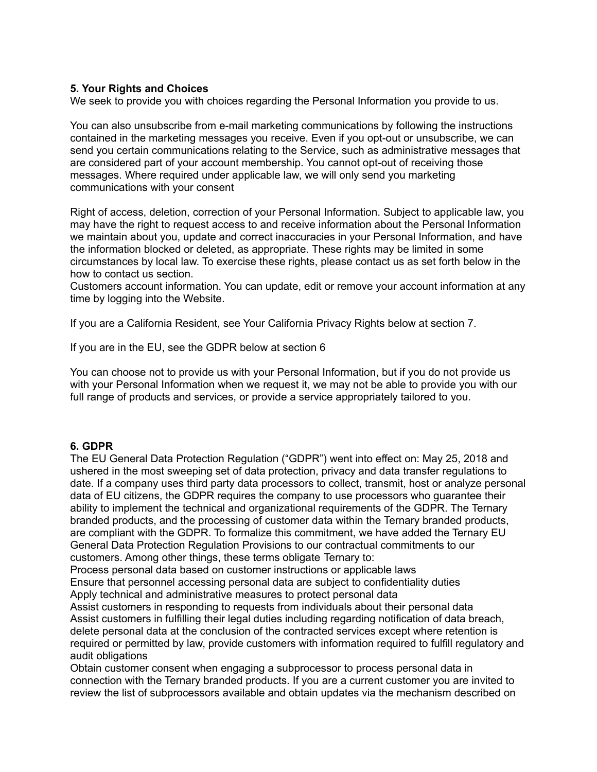## **5. Your Rights and Choices**

We seek to provide you with choices regarding the Personal Information you provide to us.

You can also unsubscribe from e-mail marketing communications by following the instructions contained in the marketing messages you receive. Even if you opt-out or unsubscribe, we can send you certain communications relating to the Service, such as administrative messages that are considered part of your account membership. You cannot opt-out of receiving those messages. Where required under applicable law, we will only send you marketing communications with your consent

Right of access, deletion, correction of your Personal Information. Subject to applicable law, you may have the right to request access to and receive information about the Personal Information we maintain about you, update and correct inaccuracies in your Personal Information, and have the information blocked or deleted, as appropriate. These rights may be limited in some circumstances by local law. To exercise these rights, please contact us as set forth below in the how to contact us section.

Customers account information. You can update, edit or remove your account information at any time by logging into the Website.

If you are a California Resident, see Your California Privacy Rights below at section 7.

If you are in the EU, see the GDPR below at section 6

You can choose not to provide us with your Personal Information, but if you do not provide us with your Personal Information when we request it, we may not be able to provide you with our full range of products and services, or provide a service appropriately tailored to you.

#### **6. GDPR**

The EU General Data Protection Regulation ("GDPR") went into effect on: May 25, 2018 and ushered in the most sweeping set of data protection, privacy and data transfer regulations to date. If a company uses third party data processors to collect, transmit, host or analyze personal data of EU citizens, the GDPR requires the company to use processors who guarantee their ability to implement the technical and organizational requirements of the GDPR. The Ternary branded products, and the processing of customer data within the Ternary branded products, are compliant with the GDPR. To formalize this commitment, we have added the Ternary EU General Data Protection Regulation Provisions to our contractual commitments to our customers. Among other things, these terms obligate Ternary to:

Process personal data based on customer instructions or applicable laws

Ensure that personnel accessing personal data are subject to confidentiality duties Apply technical and administrative measures to protect personal data

Assist customers in responding to requests from individuals about their personal data Assist customers in fulfilling their legal duties including regarding notification of data breach, delete personal data at the conclusion of the contracted services except where retention is required or permitted by law, provide customers with information required to fulfill regulatory and

audit obligations

Obtain customer consent when engaging a subprocessor to process personal data in connection with the Ternary branded products. If you are a current customer you are invited to review the list of subprocessors available and obtain updates via the mechanism described on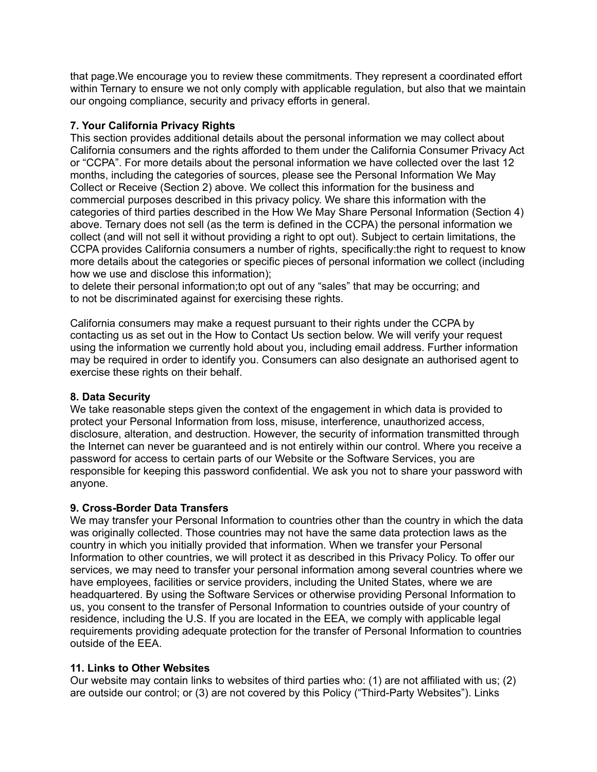that page.We encourage you to review these commitments. They represent a coordinated effort within Ternary to ensure we not only comply with applicable regulation, but also that we maintain our ongoing compliance, security and privacy efforts in general.

## **7. Your California Privacy Rights**

This section provides additional details about the personal information we may collect about California consumers and the rights afforded to them under the California Consumer Privacy Act or "CCPA". For more details about the personal information we have collected over the last 12 months, including the categories of sources, please see the Personal Information We May Collect or Receive (Section 2) above. We collect this information for the business and commercial purposes described in this privacy policy. We share this information with the categories of third parties described in the How We May Share Personal Information (Section 4) above. Ternary does not sell (as the term is defined in the CCPA) the personal information we collect (and will not sell it without providing a right to opt out). Subject to certain limitations, the CCPA provides California consumers a number of rights, specifically:the right to request to know more details about the categories or specific pieces of personal information we collect (including how we use and disclose this information);

to delete their personal information;to opt out of any "sales" that may be occurring; and to not be discriminated against for exercising these rights.

California consumers may make a request pursuant to their rights under the CCPA by contacting us as set out in the How to Contact Us section below. We will verify your request using the information we currently hold about you, including email address. Further information may be required in order to identify you. Consumers can also designate an authorised agent to exercise these rights on their behalf.

# **8. Data Security**

We take reasonable steps given the context of the engagement in which data is provided to protect your Personal Information from loss, misuse, interference, unauthorized access, disclosure, alteration, and destruction. However, the security of information transmitted through the Internet can never be guaranteed and is not entirely within our control. Where you receive a password for access to certain parts of our Website or the Software Services, you are responsible for keeping this password confidential. We ask you not to share your password with anyone.

# **9. Cross-Border Data Transfers**

We may transfer your Personal Information to countries other than the country in which the data was originally collected. Those countries may not have the same data protection laws as the country in which you initially provided that information. When we transfer your Personal Information to other countries, we will protect it as described in this Privacy Policy. To offer our services, we may need to transfer your personal information among several countries where we have employees, facilities or service providers, including the United States, where we are headquartered. By using the Software Services or otherwise providing Personal Information to us, you consent to the transfer of Personal Information to countries outside of your country of residence, including the U.S. If you are located in the EEA, we comply with applicable legal requirements providing adequate protection for the transfer of Personal Information to countries outside of the EEA.

## **11. Links to Other Websites**

Our website may contain links to websites of third parties who: (1) are not affiliated with us; (2) are outside our control; or (3) are not covered by this Policy ("Third-Party Websites"). Links